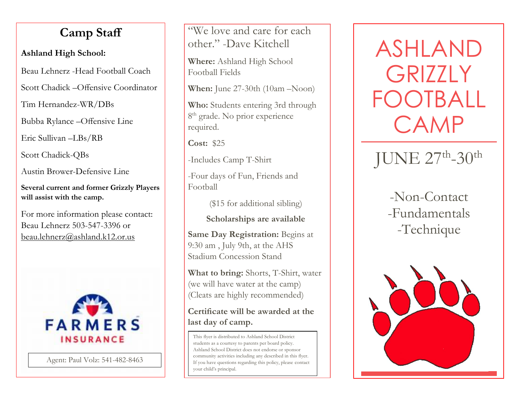# **Camp Staff**

## **Ashland High School:**

Beau Lehnerz -Head Football Coach

Scott Chadick –Offensive Coordinator

Tim Hernandez-WR/DBs

Bubba Rylance –Offensive Line

Eric Sullivan –LBs/RB

Scott Chadick-QBs

Austin Brower-Defensive Line

**Several current and former Grizzly Players will assist with the camp.**

For more information please contact: Beau Lehnerz 503-547-3396 or beau.lehnerz@ashland.k12.or.us



Agent: Paul Volz: 541-482-8463

"We love and care for each other." -Dave Kitchell

**Where:** Ashland High School Football Fields

**When:** June 27-30th (10am –Noon)

**Who:** Students entering 3rd through 8<sup>th</sup> grade. No prior experience required.

**Cost:** \$25

-Includes Camp T-Shirt

-Four days of Fun, Friends and Football

(\$15 for additional sibling)

**Scholarships are available**

**Same Day Registration:** Begins at 9:30 am , July 9th, at the AHS Stadium Concession Stand

**What to bring:** Shorts, T-Shirt, water (we will have water at the camp) (Cleats are highly recommended)

#### **Certificate will be awarded at the last day of camp.**

This flyer is distributed to Ashland School District students as a courtesy to parents per board policy. Ashland School District does not endorse or sponsor community activities including any described in this flyer. If you have questions regarding this policy, please contact your child's principal.

ASHLAND GRIZZI Y FOOTBALL CAMP

JUNE 27th-30th

# -Non-Contact -Fundamentals -Technique